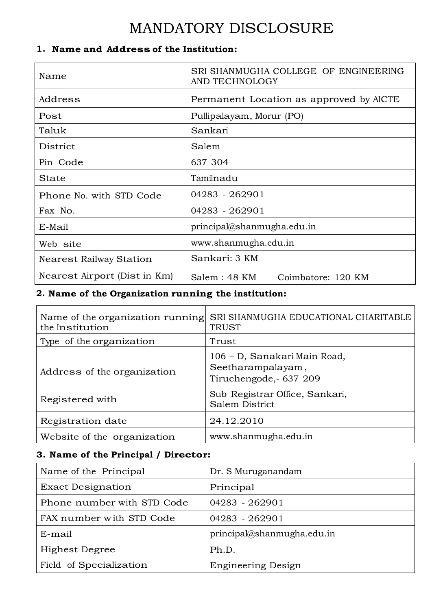# MANDATORY DISCLOSURE

## **1. Name and Address of the Institution:**

| Name                           | SRI SHANMUGHA COLLEGE OF ENGINEERING<br>AND TECHNOLOGY |  |  |  |
|--------------------------------|--------------------------------------------------------|--|--|--|
| Address                        | Permanent Location as approved by AICTE                |  |  |  |
| Post                           | Pullipalayam, Morur (PO)                               |  |  |  |
| Taluk                          | Sankari                                                |  |  |  |
| District                       | Salem                                                  |  |  |  |
| Pin Code                       | 637 304                                                |  |  |  |
| State                          | Tamilnadu                                              |  |  |  |
| Phone No. with STD Code        | 04283 - 262901                                         |  |  |  |
| Fax No.                        | 04283 - 262901                                         |  |  |  |
| E-Mail                         | $principal(a)$ shanmugha.edu.in                        |  |  |  |
| Web site                       | www.shanmugha.edu.in                                   |  |  |  |
| <b>Nearest Railway Station</b> | Sankari: 3 KM                                          |  |  |  |
| Nearest Airport (Dist in Km)   | Salem : 48 KM<br>Coimbatore: 120 KM                    |  |  |  |

# **2. Name of the Organization running the institution:**

| Name of the organization running<br>the Institution | SRI SHANMUGHA EDUCATIONAL CHARITABLE<br><b>TRUST</b>                       |
|-----------------------------------------------------|----------------------------------------------------------------------------|
| Type of the organization                            | Trust                                                                      |
| Address of the organization                         | 106 - D, Sanakari Main Road,<br>Seetharampalayam,<br>Tiruchengode, 637 209 |
| Registered with                                     | Sub Registrar Office, Sankari,<br>Salem District                           |
| Registration date                                   | 24.12.2010                                                                 |
| Website of the organization                         | www.shanmugha.edu.in                                                       |

## **3. Name of the Principal / Director:**

| Name of the Principal      | Dr. S Muruganandam         |
|----------------------------|----------------------------|
| <b>Exact Designation</b>   | Principal                  |
| Phone number with STD Code | 04283 - 262901             |
| FAX number with STD Code   | 04283 - 262901             |
| E-mail                     | principal@shanmugha.edu.in |
| Highest Degree             | Ph.D.                      |
| Field of Specialization    | <b>Engineering Design</b>  |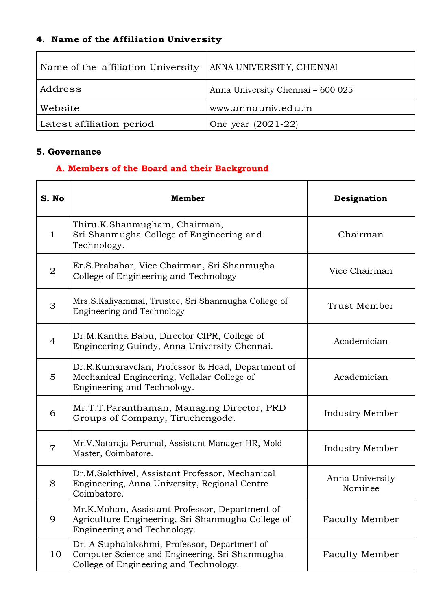# **4. Name of the Affiliation University**

| Name of the affiliation University | ANNA UNIVERSITY, CHENNAI          |
|------------------------------------|-----------------------------------|
| Address                            | Anna University Chennai - 600 025 |
| Website                            | www.annauniv.edu.in               |
| Latest affiliation period          | One year $(2021-22)$              |

#### **5. Governance**

# **A. Members of the Board and their Background**

| S. No          | Member                                                                                                                                    | Designation                |
|----------------|-------------------------------------------------------------------------------------------------------------------------------------------|----------------------------|
| $\mathbf{1}$   | Thiru.K.Shanmugham, Chairman,<br>Sri Shanmugha College of Engineering and<br>Technology.                                                  | Chairman                   |
| $\overline{2}$ | Er.S.Prabahar, Vice Chairman, Sri Shanmugha<br>College of Engineering and Technology                                                      | Vice Chairman              |
| 3              | Mrs.S.Kaliyammal, Trustee, Sri Shanmugha College of<br><b>Engineering and Technology</b>                                                  | Trust Member               |
| $\overline{4}$ | Dr.M.Kantha Babu, Director CIPR, College of<br>Engineering Guindy, Anna University Chennai.                                               | Academician                |
| 5              | Dr.R.Kumaravelan, Professor & Head, Department of<br>Mechanical Engineering, Vellalar College of<br>Engineering and Technology.           | Academician                |
| 6              | Mr.T.T.Paranthaman, Managing Director, PRD<br>Groups of Company, Tiruchengode.                                                            | <b>Industry Member</b>     |
| $\overline{7}$ | Mr.V.Nataraja Perumal, Assistant Manager HR, Mold<br>Master, Coimbatore.                                                                  | <b>Industry Member</b>     |
| 8              | Dr.M.Sakthivel, Assistant Professor, Mechanical<br>Engineering, Anna University, Regional Centre<br>Coimbatore.                           | Anna University<br>Nominee |
| 9              | Mr.K.Mohan, Assistant Professor, Department of<br>Agriculture Engineering, Sri Shanmugha College of<br>Engineering and Technology.        | <b>Faculty Member</b>      |
| 10             | Dr. A Suphalakshmi, Professor, Department of<br>Computer Science and Engineering, Sri Shanmugha<br>College of Engineering and Technology. | <b>Faculty Member</b>      |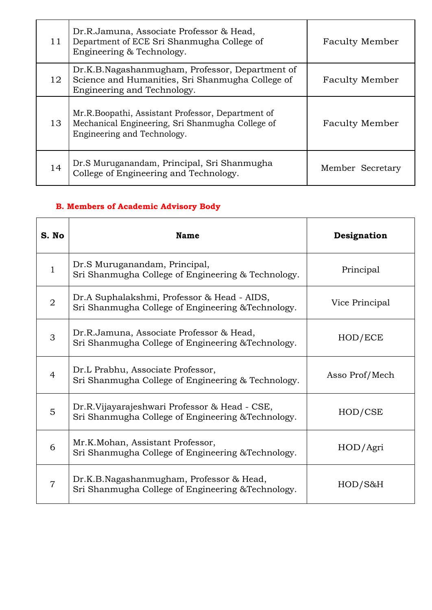| 11 | Dr.R.Jamuna, Associate Professor & Head,<br>Department of ECE Sri Shanmugha College of<br>Engineering & Technology.                  | <b>Faculty Member</b> |
|----|--------------------------------------------------------------------------------------------------------------------------------------|-----------------------|
| 12 | Dr.K.B.Nagashanmugham, Professor, Department of<br>Science and Humanities, Sri Shanmugha College of<br>Engineering and Technology.   | <b>Faculty Member</b> |
| 13 | Mr.R.Boopathi, Assistant Professor, Department of<br>Mechanical Engineering, Sri Shanmugha College of<br>Engineering and Technology. | <b>Faculty Member</b> |
| 14 | Dr.S Muruganandam, Principal, Sri Shanmugha<br>College of Engineering and Technology.                                                | Member Secretary      |

# **B. Members of Academic Advisory Body**

| S. No          | <b>Name</b>                                                                                         | Designation    |
|----------------|-----------------------------------------------------------------------------------------------------|----------------|
| $\mathbf{1}$   | Dr.S Muruganandam, Principal,<br>Sri Shanmugha College of Engineering & Technology.                 | Principal      |
| $\overline{2}$ | Dr.A Suphalakshmi, Professor & Head - AIDS,<br>Sri Shanmugha College of Engineering & Technology.   | Vice Principal |
| 3              | Dr.R.Jamuna, Associate Professor & Head,<br>Sri Shanmugha College of Engineering & Technology.      | HOD/ECE        |
| $\overline{4}$ | Dr.L Prabhu, Associate Professor,<br>Sri Shanmugha College of Engineering & Technology.             | Asso Prof/Mech |
| 5              | Dr.R.Vijayarajeshwari Professor & Head - CSE,<br>Sri Shanmugha College of Engineering & Technology. | HOD/CSE        |
| 6              | Mr.K.Mohan, Assistant Professor,<br>Sri Shanmugha College of Engineering & Technology.              | HOD/Agri       |
| $\overline{7}$ | Dr.K.B.Nagashanmugham, Professor & Head,<br>Sri Shanmugha College of Engineering & Technology.      | HOD/S&H        |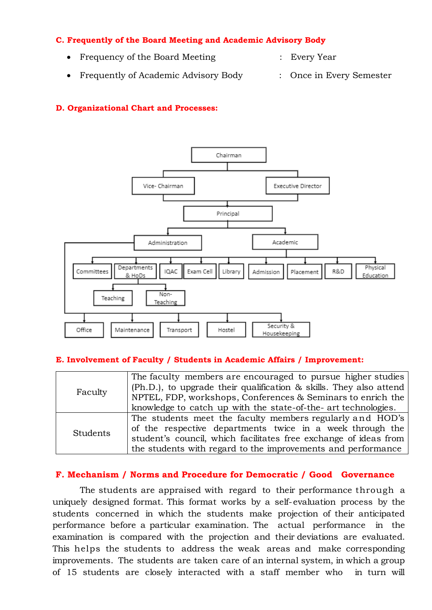#### **C. Frequently of the Board Meeting and Academic Advisory Body**

- Frequency of the Board Meeting : Every Year
- 
- Frequently of Academic Advisory Body : Once in Every Semester
- 

#### **D. Organizational Chart and Processes:**



#### **E. Involvement of Faculty / Students in Academic Affairs / Improvement:**

|                 | The faculty members are encouraged to pursue higher studies        |
|-----------------|--------------------------------------------------------------------|
|                 | (Ph.D.), to upgrade their qualification & skills. They also attend |
| Faculty         | NPTEL, FDP, workshops, Conferences & Seminars to enrich the        |
|                 | knowledge to catch up with the state-of-the- art technologies.     |
|                 | The students meet the faculty members regularly and HOD's          |
| <b>Students</b> | of the respective departments twice in a week through the          |
|                 | student's council, which facilitates free exchange of ideas from   |
|                 | the students with regard to the improvements and performance       |

#### **F. Mechanism / Norms and Procedure for Democratic / Good Governance**

The students are appraised with regard to their performance through a uniquely designed format. This format works by a self-evaluation process by the students concerned in which the students make projection of their anticipated performance before a particular examination. The actual performance in the examination is compared with the projection and their deviations are evaluated. This helps the students to address the weak areas and make corresponding improvements. The students are taken care of an internal system, in which a group of 15 students are closely interacted with a staff member who in turn will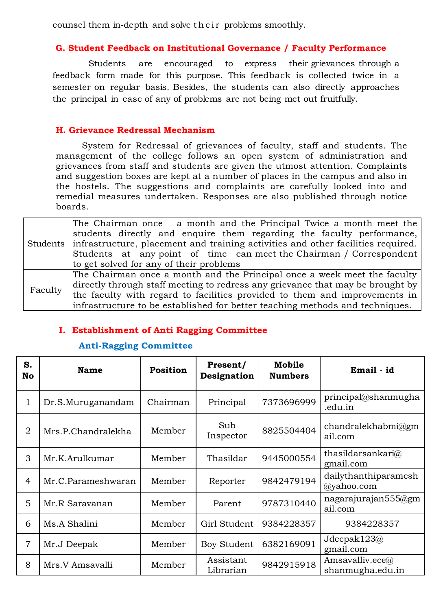counsel them in-depth and solve their problems smoothly.

#### **G. Student Feedback on Institutional Governance / Faculty Performance**

Students are encouraged to express their grievances through a feedback form made for this purpose. This feedback is collected twice in a semester on regular basis. Besides, the students can also directly approaches the principal in case of any of problems are not being met out fruitfully.

#### **H. Grievance Redressal Mechanism**

System for Redressal of grievances of faculty, staff and students. The management of the college follows an open system of administration and grievances from staff and students are given the utmost attention. Complaints and suggestion boxes are kept at a number of places in the campus and also in the hostels. The suggestions and complaints are carefully looked into and remedial measures undertaken. Responses are also published through notice boards.

|         | The Chairman once a month and the Principal Twice a month meet the                        |
|---------|-------------------------------------------------------------------------------------------|
|         | students directly and enquire them regarding the faculty performance,                     |
|         | Students infrastructure, placement and training activities and other facilities required. |
|         | Students at any point of time can meet the Chairman / Correspondent                       |
|         | to get solved for any of their problems                                                   |
|         | The Chairman once a month and the Principal once a week meet the faculty                  |
| Faculty | directly through staff meeting to redress any grievance that may be brought by            |
|         | the faculty with regard to facilities provided to them and improvements in                |
|         | infrastructure to be established for better teaching methods and techniques.              |

#### **I. Establishment of Anti Ragging Committee**

#### **Anti-Ragging Committee**

| S.<br><b>No</b> | <b>Name</b>        | <b>Position</b> | Present/<br>Designation | Mobile<br><b>Numbers</b> | Email - id                                       |
|-----------------|--------------------|-----------------|-------------------------|--------------------------|--------------------------------------------------|
| 1               | Dr.S.Muruganandam  | Chairman        | Principal               | 7373696999               | principal@shamugha<br>.edu.in                    |
| $\overline{2}$  | Mrs.P.Chandralekha | Member          | Sub<br>Inspector        | 8825504404               | chandralekhabmi $@g$ m<br>ail.com                |
| 3               | Mr.K.Arulkumar     | Member          | Thasildar               | 9445000554               | thasildarsankari@<br>gmail.com                   |
| 4               | Mr.C.Parameshwaran | Member          | Reporter                | 9842479194               | dailythanthiparamesh<br>@yahoo.com               |
| 5               | Mr.R Saravanan     | Member          | Parent                  | 9787310440               | nagarajurajan555@gm<br>ail.com                   |
| 6               | Ms.A Shalini       | Member          | Girl Student            | 9384228357               | 9384228357                                       |
| $\overline{7}$  | Mr.J Deepak        | Member          | Boy Student             | 6382169091               | Jdeepak123@<br>gmail.com                         |
| 8               | Mrs. V Amsavalli   | Member          | Assistant<br>Librarian  | 9842915918               | Amsavalliv.ece $\widehat{a}$<br>shanmugha.edu.in |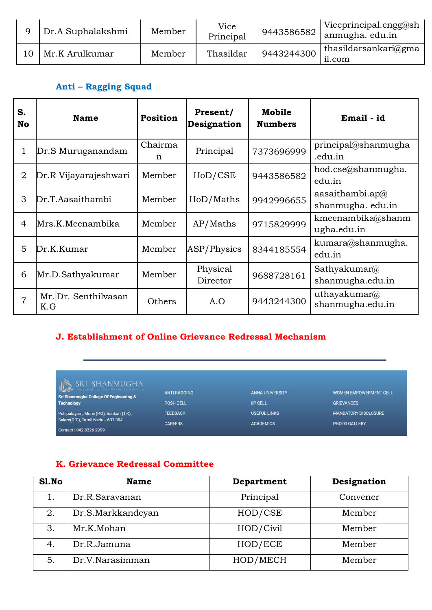|     | Dr.A Suphalakshmi | Member | Vice<br>Principal | 9443586582 | Viceprincipal.engg@sh<br>anmugha. edu.in |
|-----|-------------------|--------|-------------------|------------|------------------------------------------|
| l O | Mr.K Arulkumar    | Member | Thasildar         | 9443244300 | thasildarsankari@gma<br>il.com           |

## **Anti – Ragging Squad**

| S.<br><b>No</b> | <b>Name</b>                 | <b>Position</b> | Present/<br>Designation | Mobile<br><b>Numbers</b> | Email - id                               |
|-----------------|-----------------------------|-----------------|-------------------------|--------------------------|------------------------------------------|
| 1               | Dr.S Muruganandam           | Chairma<br>n    | Principal               | 7373696999               | principal@shanmugha<br>.edu.in           |
| 2               | Dr.R Vijayarajeshwari       | Member          | HoD/CSE                 | 9443586582               | hod.cse@shanmugha.<br>edu.in             |
| 3               | Dr.T.Aasaithambi            | Member          | HoD/Maths               | 9942996655               | aasaithambi.ap $@$<br>shanmugha. edu.in  |
| 4               | Mrs.K.Meenambika            | Member          | AP/Maths                | 9715829999               | kmeenambika@shanm<br>ugha.edu.in         |
| 5               | Dr.K.Kumar                  | Member          | ASP/Physics             | 8344185554               | kumara@shanmugha.<br>edu.in              |
| 6               | Mr.D.Sathyakumar            | Member          | Physical<br>Director    | 9688728161               | Sathyakumar $\omega$<br>shanmugha.edu.in |
| $\overline{7}$  | Mr. Dr. Senthilvasan<br>K.G | Others          | A.O                     | 9443244300               | uthayakumar@<br>shanmugha.edu.in         |

## **J. Establishment of Online Grievance Redressal Mechanism**

 $\mathbb{D}$ Sri Shanmugha College Of Engineering & Technology Pullipalayam, Morur(P.O), Sankari (T.K).<br>Salem(D.T.), Tamil Nadu– 637 304 Contact: 042 8326 2999

ANTI-RAGGING POSH CELL FEEDBACK CAREERS

ANNA UNIVERSITY **IIP CELL USEFUL LINKS ACADEMICS** 

WOMEN EMPOWERMENT CELL **GRIEVANCES MANDATORY DISCLOSURE** PHOTO GALLERY

#### **K. Grievance Redressal Committee**

| S1.No | <b>Name</b>       | Department | Designation |
|-------|-------------------|------------|-------------|
|       | Dr.R.Saravanan    | Principal  | Convener    |
| 2.    | Dr.S.Markkandeyan | HOD/CSE    | Member      |
| 3.    | Mr.K.Mohan        | HOD/Civil  | Member      |
| 4.    | Dr.R.Jamuna       | HOD/ECE    | Member      |
| 5.    | Dr.V.Narasimman   | HOD/MECH   | Member      |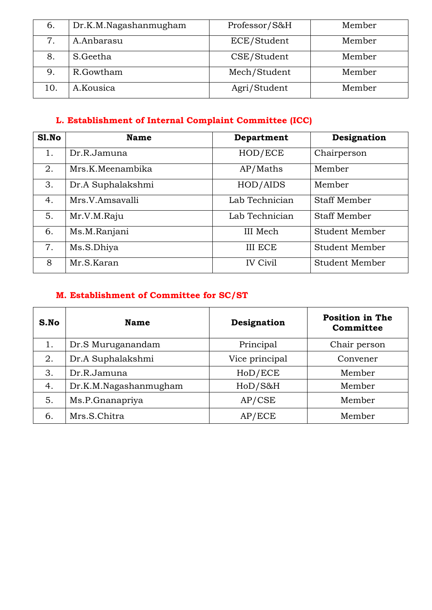| $\mathbf{b}$ . | Dr.K.M.Nagashanmugham | Professor/S&H | Member |
|----------------|-----------------------|---------------|--------|
|                | A.Anbarasu            | ECE/Student   | Member |
| 8.             | S.Geetha              | CSE/Student   | Member |
| 9.             | R.Gowtham             | Mech/Student  | Member |
| 10.            | A.Kousica             | Agri/Student  | Member |

# **L. Establishment of Internal Complaint Committee (ICC)**

| S1.No | <b>Name</b>       | Department      | Designation           |
|-------|-------------------|-----------------|-----------------------|
| 1.    | Dr.R.Jamuna       | HOD/ECE         | Chairperson           |
| 2.    | Mrs.K.Meenambika  | AP/Maths        | Member                |
| 3.    | Dr.A Suphalakshmi | HOD/AIDS        | Member                |
| 4.    | Mrs.V.Amsavalli   | Lab Technician  | <b>Staff Member</b>   |
| 5.    | Mr.V.M.Raju       | Lab Technician  | <b>Staff Member</b>   |
| 6.    | Ms.M.Ranjani      | III Mech        | <b>Student Member</b> |
| 7.    | Ms.S.Dhiya        | <b>III ECE</b>  | Student Member        |
| 8     | Mr.S.Karan        | <b>IV Civil</b> | Student Member        |

# **M. Establishment of Committee for SC/ST**

| S.No | <b>Name</b>           | Designation    | <b>Position in The</b><br>Committee |
|------|-----------------------|----------------|-------------------------------------|
| 1.   | Dr.S Muruganandam     | Principal      | Chair person                        |
| 2.   | Dr.A Suphalakshmi     | Vice principal | Convener                            |
| 3.   | Dr.R.Jamuna           | HoD/ECE        | Member                              |
| 4.   | Dr.K.M.Nagashanmugham | HoD/S&H        | Member                              |
| 5.   | Ms.P.Gnanapriya       | AP/CSE         | Member                              |
| 6.   | Mrs.S.Chitra          | AP/ECE         | Member                              |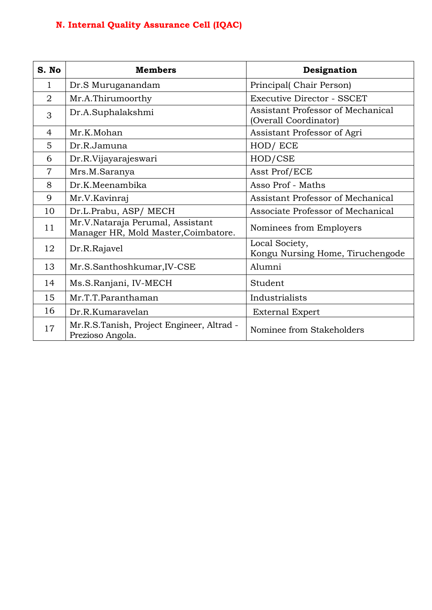# **N. Internal Quality Assurance Cell (IQAC)**

| S. No          | <b>Members</b>                                                           | Designation                                                |
|----------------|--------------------------------------------------------------------------|------------------------------------------------------------|
| $\mathbf 1$    | Dr.S Muruganandam                                                        | Principal(Chair Person)                                    |
| $\overline{2}$ | Mr.A.Thirumoorthy                                                        | <b>Executive Director - SSCET</b>                          |
| 3              | Dr.A.Suphalakshmi                                                        | Assistant Professor of Mechanical<br>(Overall Coordinator) |
| $\overline{4}$ | Mr.K.Mohan                                                               | Assistant Professor of Agri                                |
| 5              | Dr.R.Jamuna                                                              | HOD/ ECE                                                   |
| 6              | Dr.R.Vijayarajeswari                                                     | HOD/CSE                                                    |
| $\overline{7}$ | Mrs.M.Saranya                                                            | Asst Prof/ECE                                              |
| 8              | Dr.K.Meenambika                                                          | Asso Prof - Maths                                          |
| 9              | Mr.V.Kavinraj                                                            | Assistant Professor of Mechanical                          |
| 10             | Dr.L.Prabu, ASP/ MECH                                                    | Associate Professor of Mechanical                          |
| 11             | Mr.V.Nataraja Perumal, Assistant<br>Manager HR, Mold Master, Coimbatore. | Nominees from Employers                                    |
| 12             | Dr.R.Rajavel                                                             | Local Society,<br>Kongu Nursing Home, Tiruchengode         |
| 13             | Mr.S.Santhoshkumar, IV-CSE                                               | Alumni                                                     |
| 14             | Ms.S.Ranjani, IV-MECH                                                    | Student                                                    |
| 15             | Mr.T.T.Paranthaman                                                       | Industrialists                                             |
| 16             | Dr.R.Kumaravelan                                                         | <b>External Expert</b>                                     |
| 17             | Mr.R.S.Tanish, Project Engineer, Altrad -<br>Prezioso Angola.            | Nominee from Stakeholders                                  |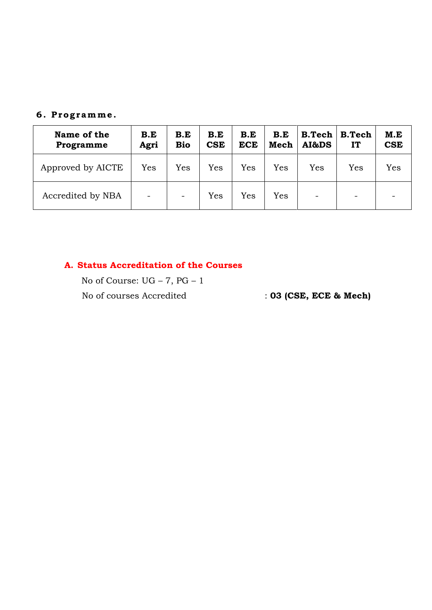#### **6 . P r o g r amm e .**

| Name of the<br>Programme | B.E<br>Agri | B.E<br><b>Bio</b>        | B.E<br><b>CSE</b> | B.E<br><b>ECE</b> | B.E<br>Mech | B. Tech<br>AI&DS | <b>B.Tech</b><br>IT          | M.E<br><b>CSE</b> |
|--------------------------|-------------|--------------------------|-------------------|-------------------|-------------|------------------|------------------------------|-------------------|
| Approved by AICTE        | Yes         | Yes                      | Yes               | Yes               | Yes         | Yes              | Yes                          | Yes               |
| Accredited by NBA        | -           | $\overline{\phantom{a}}$ | Yes               | Yes               | Yes         | -                | $\qquad \qquad \blacksquare$ |                   |

#### **A. Status Accreditation of the Courses**

No of Course: UG – 7, PG – 1 No of courses Accredited : **03 (CSE, ECE & Mech)**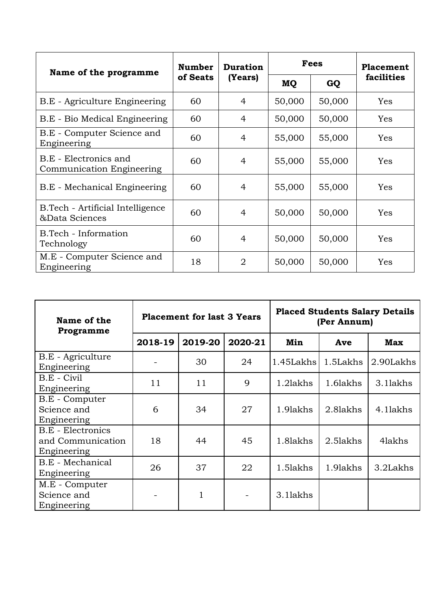| Name of the programme                               | <b>Number</b> | <b>Duration</b> | <b>Fees</b> |        | Placement  |
|-----------------------------------------------------|---------------|-----------------|-------------|--------|------------|
|                                                     | of Seats      | (Years)         | MQ          | GQ     | facilities |
| B.E - Agriculture Engineering                       | 60            | 4               | 50,000      | 50,000 | Yes        |
| B.E - Bio Medical Engineering                       | 60            | 4               | 50,000      | 50,000 | Yes        |
| B.E - Computer Science and<br>Engineering           | 60            | 4               | 55,000      | 55,000 | Yes        |
| B.E - Electronics and<br>Communication Engineering  | 60            | 4               | 55,000      | 55,000 | Yes        |
| B.E - Mechanical Engineering                        | 60            | 4               | 55,000      | 55,000 | Yes        |
| B. Tech - Artificial Intelligence<br>&Data Sciences | 60            | 4               | 50,000      | 50,000 | Yes        |
| B.Tech - Information<br>Technology                  | 60            | 4               | 50,000      | 50,000 | Yes        |
| M.E - Computer Science and<br>Engineering           | 18            | 2               | 50,000      | 50,000 | Yes        |

| Name of the<br>Programme                                     | <b>Placement for last 3 Years</b> |         |         | <b>Placed Students Salary Details</b><br>(Per Annum) |          |            |
|--------------------------------------------------------------|-----------------------------------|---------|---------|------------------------------------------------------|----------|------------|
|                                                              | 2018-19                           | 2019-20 | 2020-21 | Min                                                  | Ave      | <b>Max</b> |
| B.E - Agriculture<br>Engineering                             |                                   | 30      | 24      | 1.45Lakhs                                            | 1.5Lakhs | 2.90Lakhs  |
| B.E - Civil<br>Engineering                                   | 11                                | 11      | 9       | 1.2lakhs                                             | 1.6lakhs | 3.1lakhs   |
| B.E - Computer<br>Science and<br>Engineering                 | 6                                 | 34      | 27      | 1.9lakhs                                             | 2.8lakhs | 4.1lakhs   |
| <b>B.E</b> - Electronics<br>and Communication<br>Engineering | 18                                | 44      | 45      | 1.8lakhs                                             | 2.5lakhs | 4lakhs     |
| B.E - Mechanical<br>Engineering                              | 26                                | 37      | 22      | 1.5lakhs                                             | 1.9lakhs | 3.2Lakhs   |
| M.E - Computer<br>Science and<br>Engineering                 |                                   | 1       |         | 3.1lakhs                                             |          |            |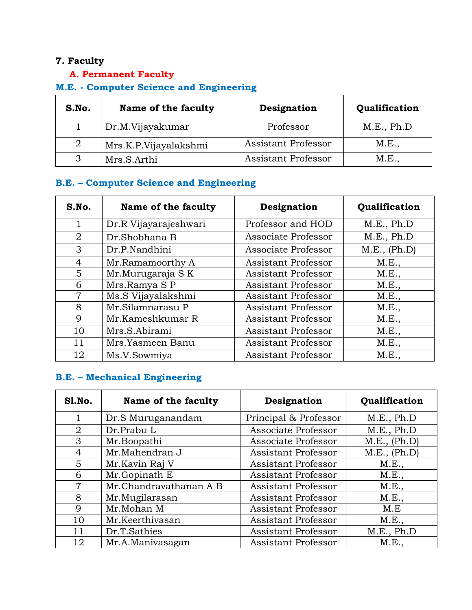## **7. Faculty**

# **A. Permanent Faculty**

# **M.E. - Computer Science and Engineering**

| S.No. | Name of the faculty   | Designation         | Qualification |
|-------|-----------------------|---------------------|---------------|
|       | Dr.M.Vijayakumar      | Professor           | M.E., Ph.D    |
| 2     | Mrs.K.P.Vijayalakshmi | Assistant Professor | M.E.,         |
| 3     | Mrs.S.Arthi           | Assistant Professor | M.E.,         |

#### **B.E. – Computer Science and Engineering**

| S.No.          | Name of the faculty   | Designation                | Qualification |
|----------------|-----------------------|----------------------------|---------------|
| 1              | Dr.R Vijayarajeshwari | Professor and HOD          | M.E., Ph.D    |
| 2              | Dr.Shobhana B         | Associate Professor        | M.E., Ph.D    |
| 3              | Dr.P.Nandhini         | Associate Professor        | M.E., (Ph.D)  |
| 4              | Mr.Ramamoorthy A      | <b>Assistant Professor</b> | M.E.,         |
| 5              | Mr.Murugaraja SK      | Assistant Professor        | M.E.,         |
| 6              | Mrs.Ramya SP          | Assistant Professor        | M.E.,         |
| $\overline{7}$ | Ms.S Vijayalakshmi    | <b>Assistant Professor</b> | M.E.,         |
| 8              | Mr.Silamnarasu P      | <b>Assistant Professor</b> | M.E.,         |
| 9              | Mr.Kameshkumar R      | <b>Assistant Professor</b> | M.E.,         |
| 10             | Mrs.S.Abirami         | Assistant Professor        | M.E.,         |
| 11             | Mrs.Yasmeen Banu      | <b>Assistant Professor</b> | M.E.,         |
| 12             | Ms.V.Sowmiya          | Assistant Professor        | M.E.,         |

#### **B.E. – Mechanical Engineering**

| Sl.No. | Name of the faculty    | Designation                | Qualification |
|--------|------------------------|----------------------------|---------------|
| 1      | Dr.S Muruganandam      | Principal & Professor      | M.E., Ph.D    |
| 2      | Dr.Prabu L             | Associate Professor        | M.E., Ph.D    |
| 3      | Mr.Boopathi            | Associate Professor        | M.E., (Ph.D)  |
| 4      | Mr.Mahendran J         | Assistant Professor        | M.E., (Ph.D)  |
| 5      | Mr.Kavin Raj V         | <b>Assistant Professor</b> | M.E.,         |
| 6      | Mr.Gopinath E          | <b>Assistant Professor</b> | M.E.,         |
| 7      | Mr.Chandravathanan A B | <b>Assistant Professor</b> | M.E.,         |
| 8      | Mr.Mugilarasan         | <b>Assistant Professor</b> | M.E.,         |
| 9      | Mr.Mohan M             | <b>Assistant Professor</b> | M.E           |
| 10     | Mr.Keerthivasan        | <b>Assistant Professor</b> | M.E.,         |
| 11     | Dr.T.Sathies           | <b>Assistant Professor</b> | M.E., Ph.D    |
| 12     | Mr.A.Manivasagan       | <b>Assistant Professor</b> | M.E.,         |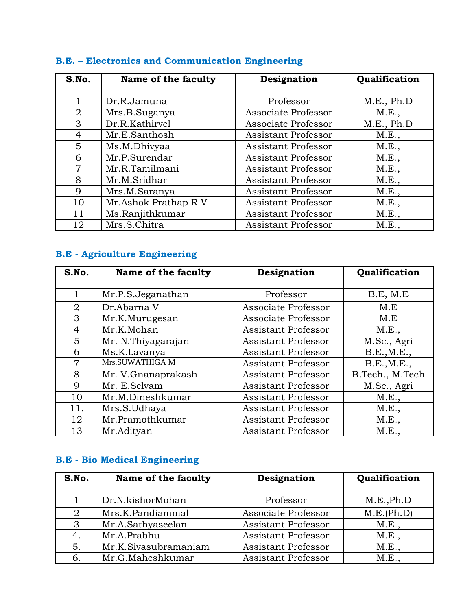| S.No.          | Name of the faculty  | Designation                | Qualification |
|----------------|----------------------|----------------------------|---------------|
|                |                      |                            |               |
|                | Dr.R.Jamuna          | Professor                  | M.E., Ph.D    |
| $\overline{2}$ | Mrs.B.Suganya        | Associate Professor        | M.E.,         |
| 3              | Dr.R.Kathirvel       | Associate Professor        | M.E., Ph.D    |
| 4              | Mr.E.Santhosh        | <b>Assistant Professor</b> | M.E.,         |
| 5              | Ms.M.Dhivyaa         | <b>Assistant Professor</b> | M.E.,         |
| 6              | Mr.P.Surendar        | <b>Assistant Professor</b> | M.E.,         |
| 7              | Mr.R.Tamilmani       | <b>Assistant Professor</b> | M.E.,         |
| 8              | Mr.M.Sridhar         | <b>Assistant Professor</b> | M.E.,         |
| 9              | Mrs.M.Saranya        | <b>Assistant Professor</b> | M.E.,         |
| 10             | Mr.Ashok Prathap R V | <b>Assistant Professor</b> | M.E.,         |
| 11             | Ms.Ranjithkumar      | <b>Assistant Professor</b> | M.E.,         |
| 12             | Mrs.S.Chitra         | <b>Assistant Professor</b> | M.E.,         |

# **B.E. – Electronics and Communication Engineering**

# **B.E - Agriculture Engineering**

| S.No.          | Name of the faculty | Designation                | Qualification   |
|----------------|---------------------|----------------------------|-----------------|
| 1              | Mr.P.S.Jeganathan   | Professor                  | B.E, M.E        |
| 2              | Dr.Abarna V         | Associate Professor        | M.E             |
| 3              | Mr.K.Murugesan      | Associate Professor        | M.E             |
| 4              | Mr.K.Mohan          | <b>Assistant Professor</b> | M.E.,           |
| 5              | Mr. N.Thiyagarajan  | <b>Assistant Professor</b> | M.Sc., Agri     |
| 6              | Ms.K.Lavanya        | <b>Assistant Professor</b> | B.E., M.E.,     |
| $\overline{7}$ | Mrs.SUWATHIGA M     | <b>Assistant Professor</b> | B.E., M.E.,     |
| 8              | Mr. V.Gnanaprakash  | <b>Assistant Professor</b> | B.Tech., M.Tech |
| $\mathbf Q$    | Mr. E.Selvam        | Assistant Professor        | M.Sc., Agri     |
| 10             | Mr.M.Dineshkumar    | <b>Assistant Professor</b> | M.E.,           |
| 11.            | Mrs.S.Udhaya        | <b>Assistant Professor</b> | M.E.,           |
| 12             | Mr.Pramothkumar     | <b>Assistant Professor</b> | M.E.,           |
| 13             | Mr.Adityan          | <b>Assistant Professor</b> | M.E.,           |

# **B.E - Bio Medical Engineering**

| S.No. | Name of the faculty  | Designation                | Qualification |
|-------|----------------------|----------------------------|---------------|
|       | Dr.N.kishorMohan     | Professor                  | M.E., Ph.D    |
| 2     | Mrs.K.Pandiammal     | Associate Professor        | M.E.(Ph.D)    |
| 3     | Mr.A.Sathyaseelan    | Assistant Professor        | M.E.,         |
| 4.    | Mr.A.Prabhu          | Assistant Professor        | M.E.,         |
| 5.    | Mr.K.Sivasubramaniam | Assistant Professor        | M.E.,         |
| 6.    | Mr.G.Maheshkumar     | <b>Assistant Professor</b> | M.E.,         |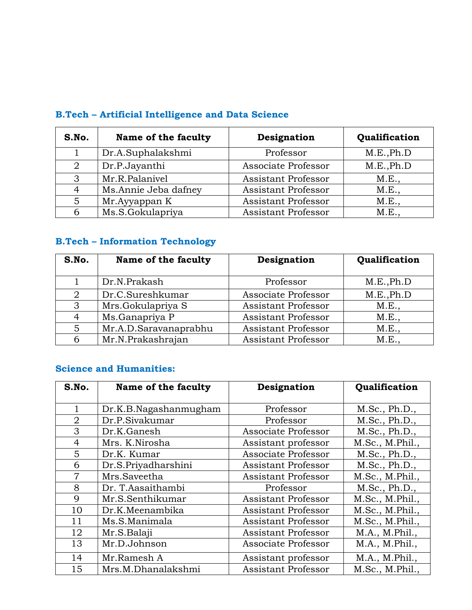| S.No. | Name of the faculty  | Designation                | Qualification |
|-------|----------------------|----------------------------|---------------|
|       | Dr.A.Suphalakshmi    | Professor                  | M.E., Ph.D    |
| 2     | Dr.P.Jayanthi        | Associate Professor        | M.E., Ph.D    |
| 3     | Mr.R.Palanivel       | <b>Assistant Professor</b> | M.E.,         |
| 4     | Ms.Annie Jeba dafney | Assistant Professor        | M.E.,         |
| 5     | Mr.Ayyappan K        | <b>Assistant Professor</b> | M.E.,         |
| 6     | Ms.S.Gokulapriya     | <b>Assistant Professor</b> | M.E.,         |

# **B.Tech – Artificial Intelligence and Data Science**

# **B.Tech – Information Technology**

| S.No. | Name of the faculty   | Designation                | Qualification |
|-------|-----------------------|----------------------------|---------------|
|       | Dr.N.Prakash          | Professor                  | M.E., Ph.D    |
| 2     | Dr.C.Sureshkumar      | Associate Professor        | M.E., Ph.D    |
| 3     | Mrs.Gokulapriya S     | <b>Assistant Professor</b> | M.E.,         |
| 4     | Ms.Ganapriya P        | <b>Assistant Professor</b> | M.E.,         |
| 5     | Mr.A.D.Saravanaprabhu | <b>Assistant Professor</b> | M.E.,         |
| 6     | Mr.N.Prakashrajan     | <b>Assistant Professor</b> | M.E.,         |

#### **Science and Humanities:**

| S.No.          | Name of the faculty   | Designation                | Qualification   |
|----------------|-----------------------|----------------------------|-----------------|
|                |                       |                            |                 |
| 1              | Dr.K.B.Nagashanmugham | Professor                  | M.Sc., Ph.D.,   |
| $\overline{2}$ | Dr.P.Sivakumar        | Professor                  | M.Sc., Ph.D.,   |
| 3              | Dr.K.Ganesh           | Associate Professor        | M.Sc., Ph.D.,   |
| 4              | Mrs. K.Nirosha        | Assistant professor        | M.Sc., M.Phil., |
| 5              | Dr.K. Kumar           | Associate Professor        | M.Sc., Ph.D.,   |
| 6              | Dr.S.Priyadharshini   | <b>Assistant Professor</b> | M.Sc., Ph.D.,   |
| $\overline{7}$ | Mrs.Saveetha          | <b>Assistant Professor</b> | M.Sc., M.Phil., |
| 8              | Dr. T.Aasaithambi     | Professor                  | M.Sc., Ph.D.,   |
| 9              | Mr.S.Senthikumar      | <b>Assistant Professor</b> | M.Sc., M.Phil., |
| 10             | Dr.K.Meenambika       | <b>Assistant Professor</b> | M.Sc., M.Phil., |
| 11             | Ms.S.Manimala         | <b>Assistant Professor</b> | M.Sc., M.Phil., |
| 12             | Mr.S.Balaji           | Assistant Professor        | M.A., M.Phil.,  |
| 13             | Mr.D.Johnson          | Associate Professor        | M.A., M.Phil.,  |
| 14             | Mr.Ramesh A           | Assistant professor        | M.A., M.Phil.,  |
| 15             | Mrs.M.Dhanalakshmi    | Assistant Professor        | M.Sc., M.Phil., |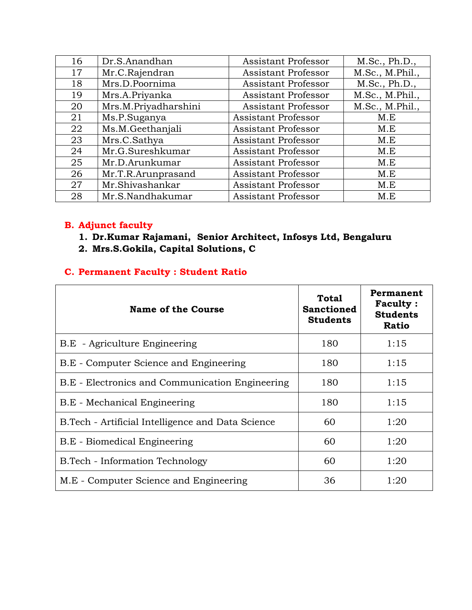| 16 | Dr.S.Anandhan        | Assistant Professor        | M.Sc., Ph.D.,   |
|----|----------------------|----------------------------|-----------------|
| 17 | Mr.C.Rajendran       | <b>Assistant Professor</b> | M.Sc., M.Phil., |
| 18 | Mrs.D.Poornima       | <b>Assistant Professor</b> | M.Sc., Ph.D.,   |
| 19 | Mrs.A.Priyanka       | Assistant Professor        | M.Sc., M.Phil., |
| 20 | Mrs.M.Priyadharshini | <b>Assistant Professor</b> | M.Sc., M.Phil., |
| 21 | Ms.P.Suganya         | <b>Assistant Professor</b> | M.E             |
| 22 | Ms.M.Geethanjali     | Assistant Professor        | M.E             |
| 23 | Mrs.C.Sathya         | Assistant Professor        | M.E             |
| 24 | Mr.G.Sureshkumar     | <b>Assistant Professor</b> | M.E             |
| 25 | Mr.D.Arunkumar       | <b>Assistant Professor</b> | M.E             |
| 26 | Mr.T.R.Arunprasand   | Assistant Professor        | M.E             |
| 27 | Mr.Shivashankar      | <b>Assistant Professor</b> | M.E             |
| 28 | Mr.S.Nandhakumar     | <b>Assistant Professor</b> | M.E             |

#### **B. Adjunct faculty**

- **1. Dr.Kumar Rajamani, Senior Architect, Infosys Ltd, Bengaluru**
- **2. Mrs.S.Gokila, Capital Solutions, C**

### **C. Permanent Faculty : Student Ratio**

| <b>Name of the Course</b>                         | <b>Total</b><br><b>Sanctioned</b><br><b>Students</b> | Permanent<br><b>Faculty:</b><br><b>Students</b><br><b>Ratio</b> |
|---------------------------------------------------|------------------------------------------------------|-----------------------------------------------------------------|
| B.E - Agriculture Engineering                     | 180                                                  | 1:15                                                            |
| B.E - Computer Science and Engineering            | 180                                                  | 1:15                                                            |
| B.E - Electronics and Communication Engineering   | 180                                                  | 1:15                                                            |
| B.E - Mechanical Engineering                      | 180                                                  | 1:15                                                            |
| B.Tech - Artificial Intelligence and Data Science | 60                                                   | 1:20                                                            |
| B.E - Biomedical Engineering                      | 60                                                   | 1:20                                                            |
| <b>B.Tech - Information Technology</b>            | 60                                                   | 1:20                                                            |
| M.E - Computer Science and Engineering            | 36                                                   | 1:20                                                            |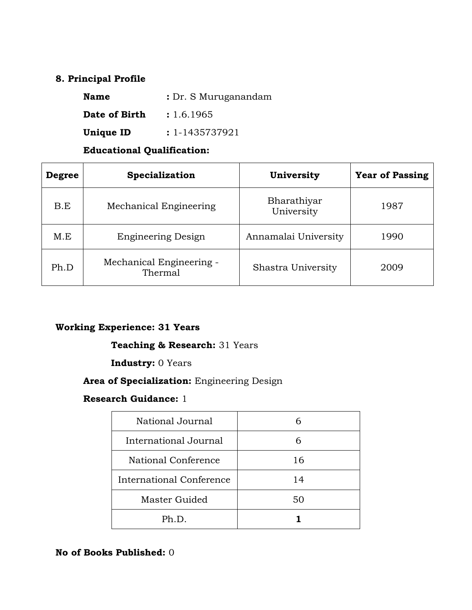#### **8. Principal Profile**

| <b>Name</b>      | : Dr. S Muruganandam |
|------------------|----------------------|
| Date of Birth    | : 1.6.1965           |
| <b>Unique ID</b> | $: 1 - 1435737921$   |

#### **Educational Qualification:**

| <b>Degree</b> | Specialization                      | University                | <b>Year of Passing</b> |
|---------------|-------------------------------------|---------------------------|------------------------|
| B.E           | Mechanical Engineering              | Bharathiyar<br>University | 1987                   |
| M.E           | <b>Engineering Design</b>           | Annamalai University      | 1990                   |
| Ph.D          | Mechanical Engineering -<br>Thermal | Shastra University        | 2009                   |

#### **Working Experience: 31 Years**

#### **Teaching & Research:** 31 Years

#### **Industry:** 0 Years

#### **Area of Specialization:** Engineering Design

#### **Research Guidance:** 1

| National Journal         |    |
|--------------------------|----|
| International Journal    |    |
| National Conference      | 16 |
| International Conference | 14 |
| Master Guided            | 50 |
| Ph.D.                    |    |

#### **No of Books Published:** 0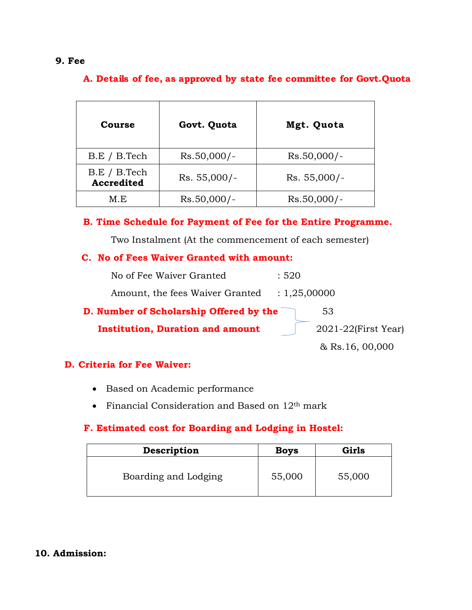#### **9. Fee**

#### **A. Details of fee, as approved by state fee committee for Govt.Quota**

| Course                     | Govt. Quota    | Mgt. Quota     |
|----------------------------|----------------|----------------|
| B.E / B.Tech               | $Rs.50,000/-$  | $Rs.50,000/-$  |
| B.E / B.Tech<br>Accredited | $Rs. 55,000/-$ | $Rs. 55,000/-$ |
| M.E                        | $Rs.50,000/-$  | $Rs.50,000/-$  |

**B. Time Schedule for Payment of Fee for the Entire Programme.**

Two Instalment (At the commencement of each semester)

#### **C. No of Fees Waiver Granted with amount:**

| No of Fee Waiver Granted                | :520                     |
|-----------------------------------------|--------------------------|
| Amount, the fees Waiver Granted         | : 1,25,00000             |
| D. Number of Scholarship Offered by the | 53                       |
| <b>Institution, Duration and amount</b> | $2021 - 22$ (First Year) |

& Rs.16, 00,000

#### **D. Criteria for Fee Waiver:**

- Based on Academic performance
- Financial Consideration and Based on 12<sup>th</sup> mark

#### **F. Estimated cost for Boarding and Lodging in Hostel:**

| Description          | <b>Boys</b> | Girls  |
|----------------------|-------------|--------|
| Boarding and Lodging | 55,000      | 55,000 |

#### **10. Admission:**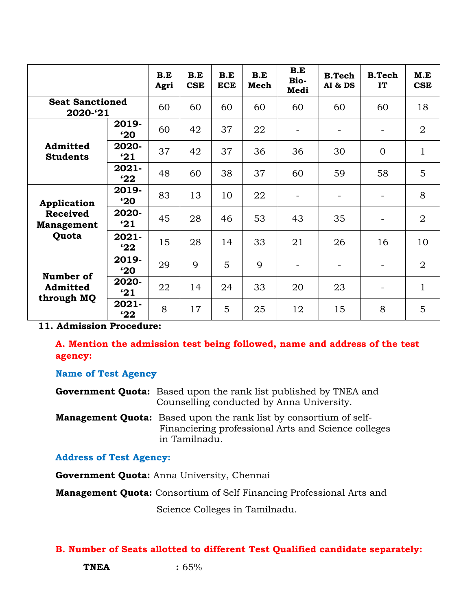|                                      |                       | B.E<br>Agri | B.E<br><b>CSE</b> | B.E<br><b>ECE</b> | B.E<br>Mech | B.E<br>Bio-<br>Medi | <b>B.Tech</b><br>AI & DS | <b>B.Tech</b><br>IT      | M.E<br><b>CSE</b> |
|--------------------------------------|-----------------------|-------------|-------------------|-------------------|-------------|---------------------|--------------------------|--------------------------|-------------------|
| <b>Seat Sanctioned</b><br>2020-'21   |                       | 60          | 60                | 60                | 60          | 60                  | 60                       | 60                       | 18                |
|                                      | 2019-<br>$^{\circ}20$ | 60          | 42                | 37                | 22          |                     | $\overline{\phantom{a}}$ | $\overline{\phantom{a}}$ | $\overline{2}$    |
| Admitted<br><b>Students</b>          | 2020-<br>'21          | 37          | 42                | 37                | 36          | 36                  | 30                       | $\overline{0}$           | $\mathbf{1}$      |
|                                      | $2021 -$<br>22        | 48          | 60                | 38                | 37          | 60                  | 59                       | 58                       | 5                 |
| Application                          | 2019-<br>$20^{\circ}$ | 83          | 13                | 10                | 22          |                     |                          |                          | 8                 |
| <b>Received</b><br><b>Management</b> | 2020-<br>'21          | 45          | 28                | 46                | 53          | 43                  | 35                       | $\blacksquare$           | $\overline{2}$    |
| Quota                                | $2021 -$<br>22        | 15          | 28                | 14                | 33          | 21                  | 26                       | 16                       | 10                |
| Number of                            | 2019-<br>$^{\circ}20$ | 29          | 9                 | 5                 | 9           |                     |                          |                          | $\overline{2}$    |
| Admitted<br>through MQ               | 2020-<br>'21          | 22          | 14                | 24                | 33          | 20                  | 23                       | $\overline{\phantom{a}}$ | $\mathbf{1}$      |
|                                      | $2021 -$<br>'22       | 8           | 17                | 5                 | 25          | 12                  | 15                       | 8                        | 5                 |

**11. Admission Procedure:**

**A. Mention the admission test being followed, name and address of the test agency:**

#### **Name of Test Agency**

**Government Quota:** Based upon the rank list published by TNEA and Counselling conducted by Anna University.

**Management Quota:** Based upon the rank list by consortium of self- Financiering professional Arts and Science colleges in Tamilnadu.

**Address of Test Agency:** 

**Government Quota:** Anna University, Chennai

**Management Quota:** Consortium of Self Financing Professional Arts and

Science Colleges in Tamilnadu.

#### **B. Number of Seats allotted to different Test Qualified candidate separately:**

**TNEA :** 65%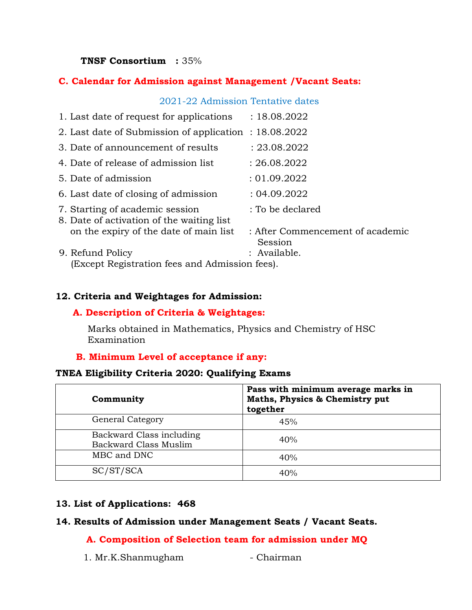#### **TNSF Consortium :** 35%

#### **C. Calendar for Admission against Management /Vacant Seats:**

#### 2021-22 Admission Tentative dates

| 1. Last date of request for applications                                     | : 18.08.2022                                |
|------------------------------------------------------------------------------|---------------------------------------------|
| 2. Last date of Submission of application : 18.08.2022                       |                                             |
| 3. Date of announcement of results                                           | : 23.08.2022                                |
| 4. Date of release of admission list                                         | : 26.08.2022                                |
| 5. Date of admission                                                         | : 01.09.2022                                |
| 6. Last date of closing of admission                                         | : 04.09.2022                                |
| 7. Starting of academic session<br>8. Date of activation of the waiting list | : To be declared                            |
| on the expiry of the date of main list                                       | : After Commencement of academic<br>Session |
| 9. Refund Policy                                                             | : Available.                                |
| (Except Registration fees and Admission fees).                               |                                             |

#### **12. Criteria and Weightages for Admission:**

#### **A. Description of Criteria & Weightages:**

Marks obtained in Mathematics, Physics and Chemistry of HSC Examination

#### **B. Minimum Level of acceptance if any:**

#### **TNEA Eligibility Criteria 2020: Qualifying Exams**

| Community                                         | Pass with minimum average marks in<br>Maths, Physics & Chemistry put<br>together |
|---------------------------------------------------|----------------------------------------------------------------------------------|
| <b>General Category</b>                           | 45%                                                                              |
| Backward Class including<br>Backward Class Muslim | 40%                                                                              |
| MBC and DNC                                       | 40%                                                                              |
| SC/ST/SCA                                         | 40%                                                                              |

#### **13. List of Applications: 468**

#### **14. Results of Admission under Management Seats / Vacant Seats.**

#### **A. Composition of Selection team for admission under MQ**

1. Mr.K.Shanmugham - Chairman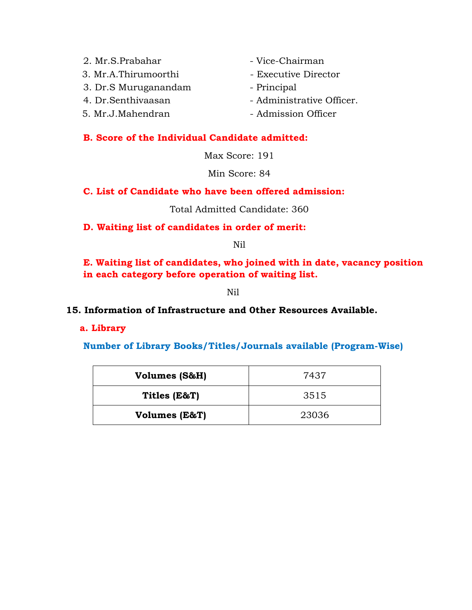- 2. Mr.S.Prabahar Vice-Chairman
- 3. Mr.A.Thirumoorthi Executive Director
- 3. Dr.S Muruganandam Principal
- 
- 
- 
- 
- 
- 4. Dr. Senthivaasan Administrative Officer.
- 5. Mr.J.Mahendran Admission Officer

#### **B. Score of the Individual Candidate admitted:**

Max Score: 191

Min Score: 84

#### **C. List of Candidate who have been offered admission:**

Total Admitted Candidate: 360

**D. Waiting list of candidates in order of merit:**

Nil

**E. Waiting list of candidates, who joined with in date, vacancy position in each category before operation of waiting list.** 

Nil

#### **15. Information of Infrastructure and 0ther Resources Available.**

#### **a. Library**

**Number of Library Books/Titles/Journals available (Program-Wise)**

| Volumes (S&H) | 7437  |
|---------------|-------|
| Titles (E&T)  | 3515  |
| Volumes (E&T) | 23036 |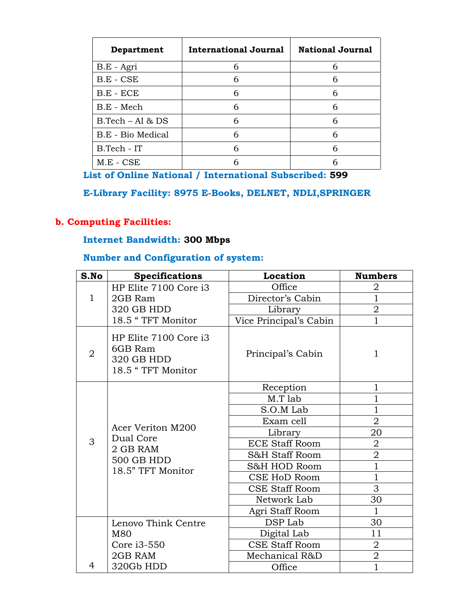| Department          | International Journal | <b>National Journal</b> |
|---------------------|-----------------------|-------------------------|
| B.E - Agri          | 6                     | 6                       |
| $B.E - CSE$         | 6                     | 6                       |
| $B.E - ECE$         | 6                     | 6                       |
| B.E - Mech          | 6                     | 6                       |
| $B. Tech - AI & DS$ | 6                     | 6                       |
| B.E - Bio Medical   | 6                     | 6                       |
| B.Tech - IT         | 6                     | 6                       |
| $M.E - CSE$         |                       |                         |

**List of Online National / International Subscribed: 599**

# **E-Library Facility: 8975 E-Books, DELNET, NDLI,SPRINGER**

# **b. Computing Facilities:**

#### **Internet Bandwidth: 300 Mbps**

#### **Number and Configuration of system:**

| S.No           | <b>Specifications</b>                                               | Location               | <b>Numbers</b>                   |
|----------------|---------------------------------------------------------------------|------------------------|----------------------------------|
|                | HP Elite 7100 Core i3                                               | Office                 | 2                                |
| $\mathbf{1}$   | 2GB Ram                                                             | Director's Cabin       | $\overline{1}$                   |
|                | 320 GB HDD                                                          | Library                | $\overline{2}$                   |
|                | 18.5 "TFT Monitor                                                   | Vice Principal's Cabin | $\mathbf{1}$                     |
| $\overline{2}$ | HP Elite 7100 Core i3<br>6GB Ram<br>320 GB HDD<br>18.5 "TFT Monitor | Principal's Cabin      | 1                                |
|                |                                                                     | Reception              | $\mathbf{1}$                     |
|                |                                                                     | M.T lab                | $\overline{1}$                   |
|                | Acer Veriton M200<br>Dual Core                                      | S.O.M Lab              |                                  |
|                |                                                                     | Exam cell              |                                  |
|                |                                                                     | Library                | 20                               |
| 3              | 2 GB RAM                                                            | <b>ECE Staff Room</b>  | $\overline{2}$                   |
|                | 500 GB HDD                                                          | S&H Staff Room         | $\overline{2}$                   |
|                | 18.5" TFT Monitor                                                   | S&H HOD Room           | $\overline{1}$<br>$\overline{1}$ |
|                |                                                                     | CSE HoD Room           |                                  |
|                |                                                                     | <b>CSE Staff Room</b>  | 3                                |
|                |                                                                     | Network Lab            | 30                               |
|                |                                                                     | Agri Staff Room        | $\mathbf{1}$                     |
|                | Lenovo Think Centre                                                 | DSP Lab                | 30                               |
|                | M80                                                                 | Digital Lab            | 11                               |
|                | Core i3-550                                                         | <b>CSE Staff Room</b>  | $\overline{2}$                   |
|                | 2GB RAM                                                             | Mechanical R&D         | $\overline{2}$                   |
| 4              | 320Gb HDD                                                           | Office                 | $\overline{1}$                   |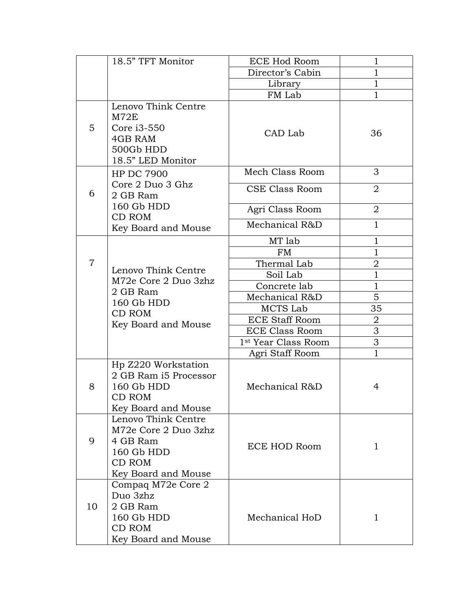|                | 18.5" TFT Monitor                                                                                      | <b>ECE Hod Room</b>             | 1              |
|----------------|--------------------------------------------------------------------------------------------------------|---------------------------------|----------------|
|                |                                                                                                        | Director's Cabin                | $\mathbf{1}$   |
|                |                                                                                                        | Library                         | $\mathbf 1$    |
|                |                                                                                                        | FM Lab                          | $\mathbf{1}$   |
| 5              | Lenovo Think Centre<br>M72E<br>Core i3-550<br>4GB RAM<br>500Gb HDD<br>18.5" LED Monitor                | CAD Lab                         | 36             |
|                | <b>HP DC 7900</b>                                                                                      | Mech Class Room                 | 3              |
| 6              | Core 2 Duo 3 Ghz<br>2 GB Ram                                                                           | CSE Class Room                  | $\overline{2}$ |
|                | 160 Gb HDD<br><b>CD ROM</b>                                                                            | Agri Class Room                 | 2              |
|                | Key Board and Mouse                                                                                    | Mechanical R&D                  | $\mathbf{1}$   |
|                |                                                                                                        | MT lab                          | 1              |
|                |                                                                                                        | FM                              | $\mathbf{1}$   |
| $\overline{7}$ | Lenovo Think Centre                                                                                    | Thermal Lab                     | 2              |
|                | M72e Core 2 Duo 3zhz                                                                                   | Soil Lab                        | $\mathbf{1}$   |
|                | 2 GB Ram                                                                                               | Concrete lab                    | $\mathbf{1}$   |
|                | 160 Gb HDD                                                                                             | Mechanical R&D                  | 5              |
|                | CD ROM                                                                                                 | MCTS Lab                        | 35             |
|                | Key Board and Mouse                                                                                    | <b>ECE Staff Room</b>           | 2              |
|                |                                                                                                        | <b>ECE Class Room</b>           | 3              |
|                |                                                                                                        | 1 <sup>st</sup> Year Class Room | 3              |
|                |                                                                                                        | Agri Staff Room                 | $\mathbf{1}$   |
| 8              | Hp Z220 Workstation<br>2 GB Ram i5 Processor<br>160 Gb HDD<br>CD ROM<br>Key Board and Mouse            | Mechanical R&D                  | 4              |
| 9              | Lenovo Think Centre<br>M72e Core 2 Duo 3zhz<br>4 GB Ram<br>160 Gb HDD<br>CD ROM<br>Key Board and Mouse | ECE HOD Room                    | $\mathbf{1}$   |
| 10             | Compaq M72e Core 2<br>Duo 3zhz<br>2 GB Ram<br>160 Gb HDD<br>CD ROM<br>Key Board and Mouse              | Mechanical HoD                  | 1              |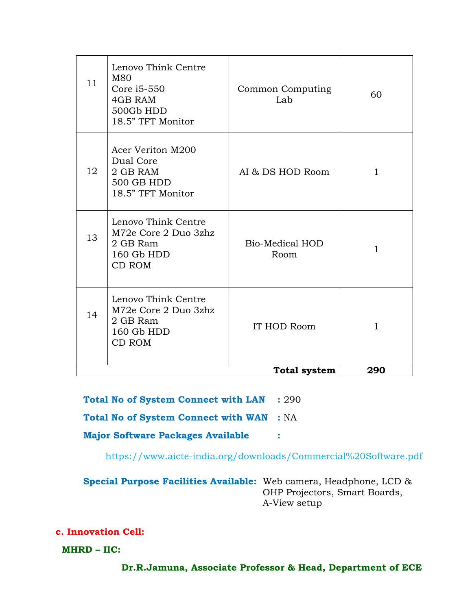| 11 | Lenovo Think Centre<br>M80<br>Core i5-550<br>4GB RAM<br>500Gb HDD<br>18.5" TFT Monitor | Common Computing<br>Lab        | 60           |
|----|----------------------------------------------------------------------------------------|--------------------------------|--------------|
| 12 | Acer Veriton M200<br>Dual Core<br>2 GB RAM<br>500 GB HDD<br>18.5" TFT Monitor          | AI & DS HOD Room               | 1            |
| 13 | Lenovo Think Centre<br>M72e Core 2 Duo 3zhz<br>2 GB Ram<br>160 Gb HDD<br>CD ROM        | <b>Bio-Medical HOD</b><br>Room | 1            |
| 14 | Lenovo Think Centre<br>M72e Core 2 Duo 3zhz<br>2 GB Ram<br>160 Gb HDD<br>CD ROM        | IT HOD Room                    | $\mathbf{1}$ |
|    |                                                                                        | <b>Total system</b>            | 290          |

**Total No of System Connect with LAN :** 290

**Total No of System Connect with WAN :** NA

**Major Software Packages Available :**

<https://www.aicte-india.org/downloads/Commercial%20Software.pdf>

**Special Purpose Facilities Available:** Web camera, Headphone, LCD & OHP Projectors, Smart Boards, A-View setup

**c. Innovation Cell:**

 **MHRD – IIC:**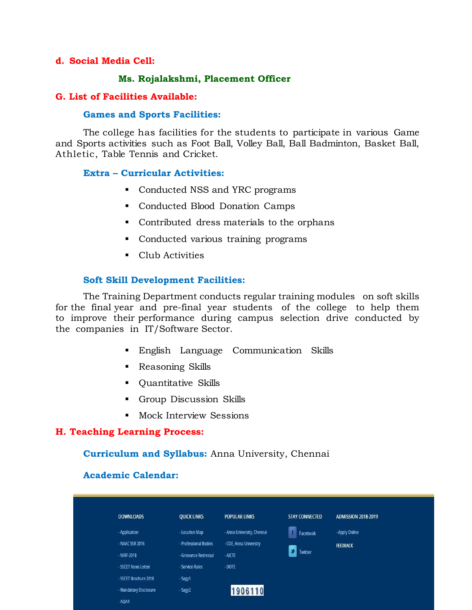#### **d. Social Media Cell:**

#### **Ms. Rojalakshmi, Placement Officer**

#### **G. List of Facilities Available:**

#### **Games and Sports Facilities:**

The college has facilities for the students to participate in various Game and Sports activities such as Foot Ball, Volley Ball, Ball Badminton, Basket Ball, Athletic, Table Tennis and Cricket.

#### **Extra – Curricular Activities:**

- Conducted NSS and YRC programs
- Conducted Blood Donation Camps
- Contributed dress materials to the orphans
- Conducted various training programs
- Club Activities

#### **Soft Skill Development Facilities:**

The Training Department conducts regular training modules on soft skills for the final year and pre-final year students of the college to help them to improve their performance during campus selection drive conducted by the companies in IT/Software Sector.

- English Language Communication Skills
- Reasoning Skills
- Quantitative Skills
- Group Discussion Skills
- **Mock Interview Sessions**

#### **H. Teaching Learning Process:**

#### **Curriculum and Syllabus:** Anna University, Chennai

#### **Academic Calendar:**

| <b>DOWNLOADS</b>       | <b>QUICK LINKS</b>    | <b>POPULAR LINKS</b>       | <b>STAY CONNECTED</b> | <b>ADMISSION 2018-2019</b> |
|------------------------|-----------------------|----------------------------|-----------------------|----------------------------|
| - Application          | - Location Map        | - Anna University, Chennal | Facebook              | - Apply Online             |
| - NAAC SSR 2016        | - Professional Bodies | - COE, Anna University     |                       | <b>FEEDBACK</b>            |
| $-NIRF-2018$           | - Grievance Redressal | $-$ AICTE                  | ٠<br>Twitter          |                            |
| - SSCET News Letter    | - Service-Rules       | $-$ DOTE                   |                       |                            |
| - SSCET Brochure 2018  | - Sagy1               |                            |                       |                            |
| - Mandatory Disclosure | - Sagy2               | 1906110                    |                       |                            |
| $- A OAR$              |                       |                            |                       |                            |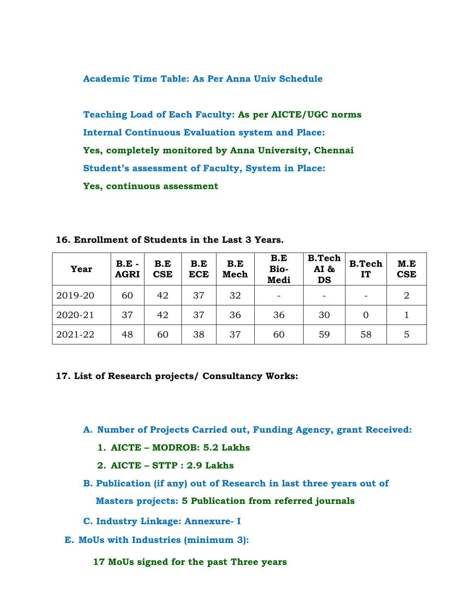**Academic Time Table: As Per Anna Univ Schedule**

**Teaching Load of Each Faculty: As per AICTE/UGC norms Internal Continuous Evaluation system and Place: Yes, completely monitored by Anna University, Chennai Student's assessment of Faculty, System in Place: Yes, continuous assessment**

**16. Enrollment of Students in the Last 3 Years.**

| <b>Year</b> | $B.E -$<br><b>AGRI</b> | B.E<br><b>CSE</b> | B.E<br><b>ECE</b> | B.E<br>Mech | B.E<br>Bio-<br>Medi | <b>B.Tech</b><br>AI &<br><b>DS</b> | <b>B.Tech</b><br>IT | M.E<br><b>CSE</b> |
|-------------|------------------------|-------------------|-------------------|-------------|---------------------|------------------------------------|---------------------|-------------------|
| 2019-20     | 60                     | 42                | 37                | 32          |                     |                                    |                     | 2                 |
| 2020-21     | 37                     | 42                | 37                | 36          | 36                  | 30                                 | $\Omega$            |                   |
| 2021-22     | 48                     | 60                | 38                | 37          | 60                  | 59                                 | 58                  | 5                 |

#### **17. List of Research projects/ Consultancy Works:**

- **A. Number of Projects Carried out, Funding Agency, grant Received:**
	- **1. AICTE – MODROB: 5.2 Lakhs**
	- **2. AICTE – STTP : 2.9 Lakhs**
- **B. Publication (if any) out of Research in last three years out of Masters projects: 5 Publication from referred journals**
- **C. Industry Linkage: Annexure- I**
- **E. MoUs with Industries (minimum 3):** 
	- **17 MoUs signed for the past Three years**